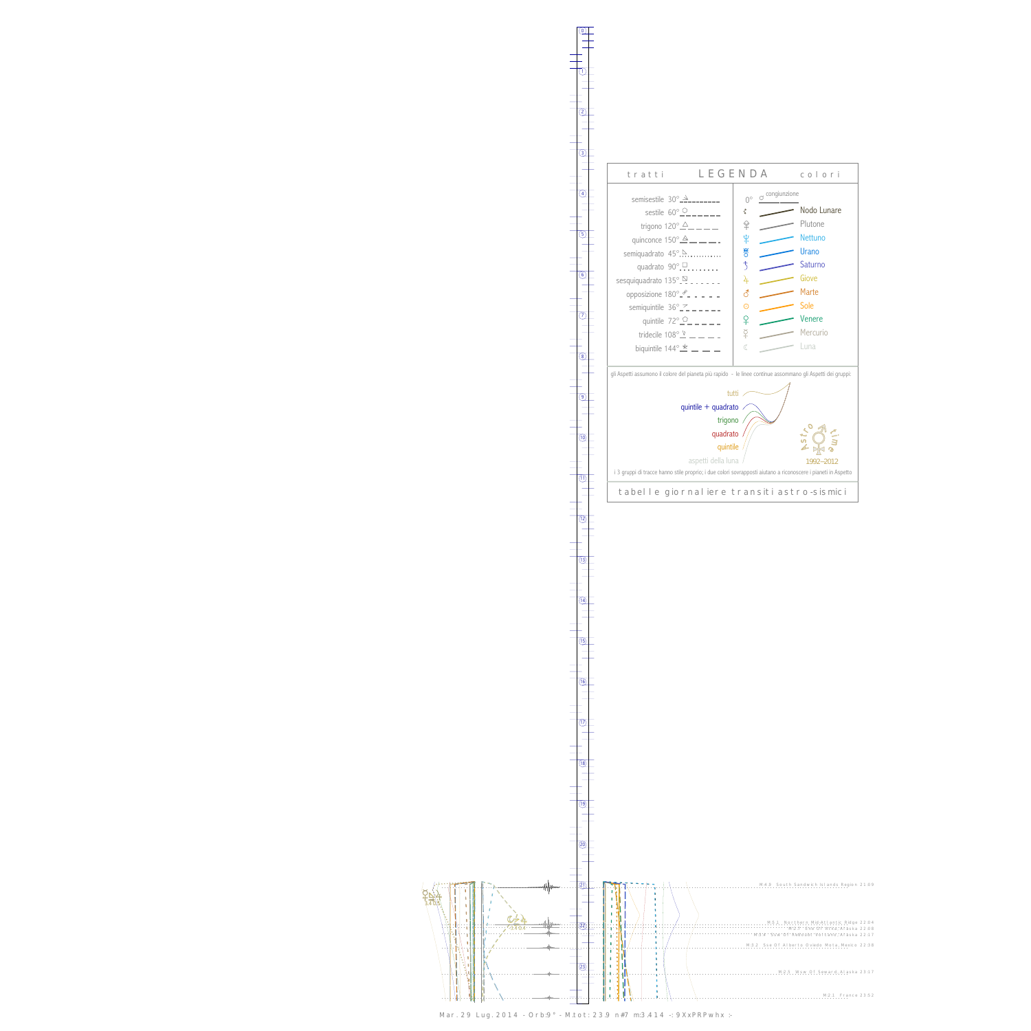0

1



Mar. 29 Lug. 2014 - Orb:9° - M.tot: 23.9 n#7 m:3.414 -: 9XxPRPwhx :-



13